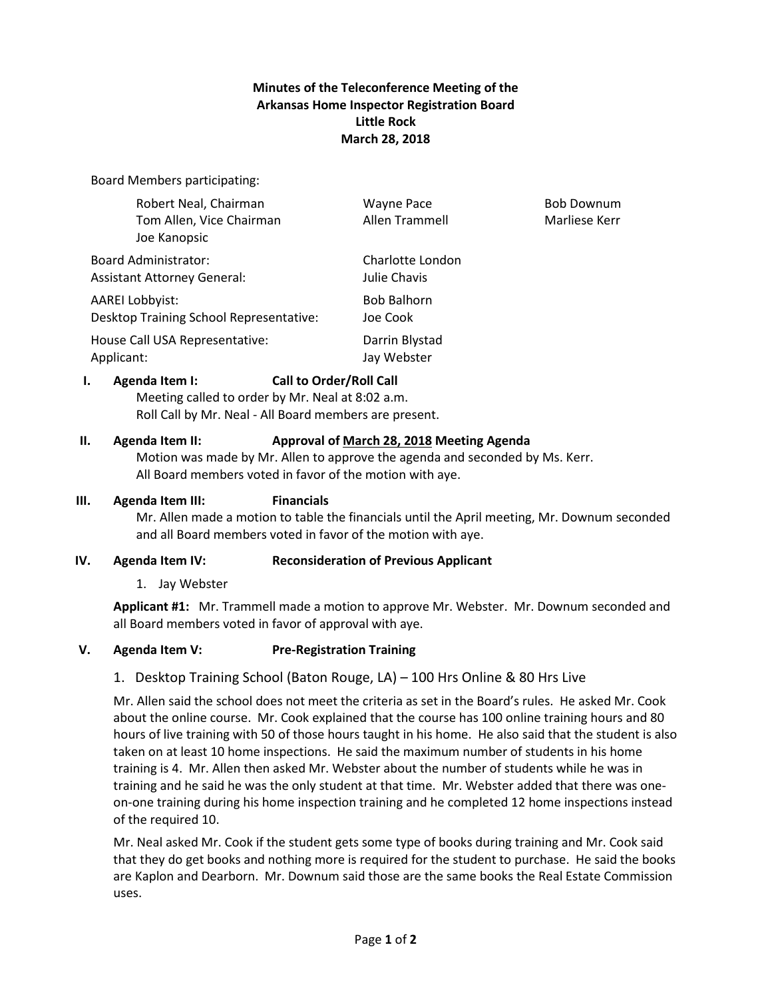# **Minutes of the Teleconference Meeting of the Arkansas Home Inspector Registration Board Little Rock March 28, 2018**

Board Members participating:

| 1.                                                                | <b>Call to Order/Roll Call</b><br>Agenda Item I:                  |                                     |                                    |
|-------------------------------------------------------------------|-------------------------------------------------------------------|-------------------------------------|------------------------------------|
|                                                                   | House Call USA Representative:<br>Applicant:                      | Darrin Blystad<br>Jay Webster       |                                    |
|                                                                   | AAREI Lobbyist:<br>Desktop Training School Representative:        | <b>Bob Balhorn</b><br>Joe Cook      |                                    |
| <b>Board Administrator:</b><br><b>Assistant Attorney General:</b> |                                                                   | Charlotte London<br>Julie Chavis    |                                    |
|                                                                   | Robert Neal, Chairman<br>Tom Allen, Vice Chairman<br>Joe Kanopsic | <b>Wayne Pace</b><br>Allen Trammell | <b>Bob Downum</b><br>Marliese Kerr |

Meeting called to order by Mr. Neal at 8:02 a.m. Roll Call by Mr. Neal - All Board members are present.

# **II. Agenda Item II: Approval of March 28, 2018 Meeting Agenda**

Motion was made by Mr. Allen to approve the agenda and seconded by Ms. Kerr. All Board members voted in favor of the motion with aye.

#### **III. Agenda Item III: Financials**

Mr. Allen made a motion to table the financials until the April meeting, Mr. Downum seconded and all Board members voted in favor of the motion with aye.

# **IV. Agenda Item IV: Reconsideration of Previous Applicant**

1. Jay Webster

**Applicant #1:** Mr. Trammell made a motion to approve Mr. Webster. Mr. Downum seconded and all Board members voted in favor of approval with aye.

# **V. Agenda Item V: Pre-Registration Training**

# 1. Desktop Training School (Baton Rouge, LA) – 100 Hrs Online & 80 Hrs Live

Mr. Allen said the school does not meet the criteria as set in the Board's rules. He asked Mr. Cook about the online course. Mr. Cook explained that the course has 100 online training hours and 80 hours of live training with 50 of those hours taught in his home. He also said that the student is also taken on at least 10 home inspections. He said the maximum number of students in his home training is 4. Mr. Allen then asked Mr. Webster about the number of students while he was in training and he said he was the only student at that time. Mr. Webster added that there was oneon-one training during his home inspection training and he completed 12 home inspections instead of the required 10.

Mr. Neal asked Mr. Cook if the student gets some type of books during training and Mr. Cook said that they do get books and nothing more is required for the student to purchase. He said the books are Kaplon and Dearborn. Mr. Downum said those are the same books the Real Estate Commission uses.